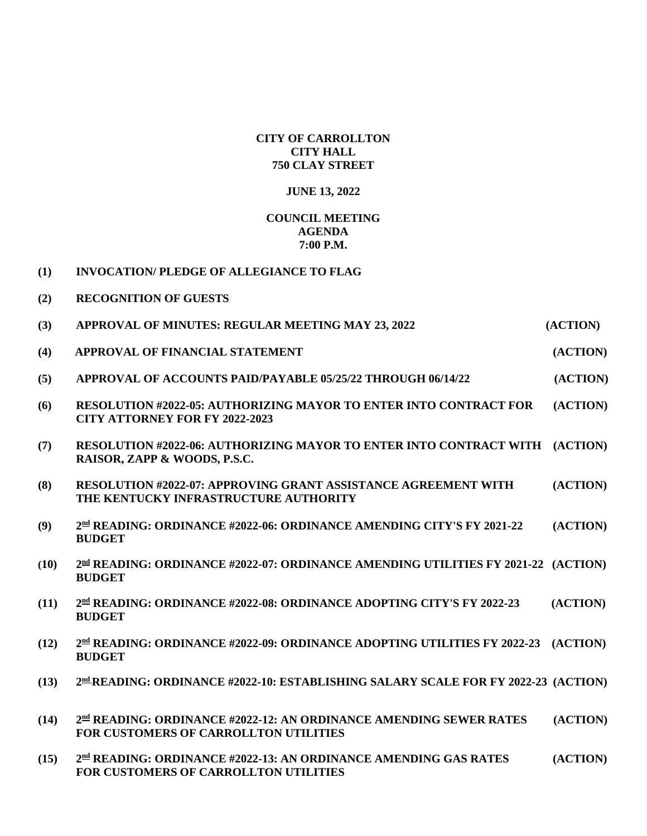## **CITY OF CARROLLTON CITY HALL 750 CLAY STREET**

## **JUNE 13, 2022**

## **COUNCIL MEETING AGENDA 7:00 P.M.**

| <b>INVOCATION/PLEDGE OF ALLEGIANCE TO FLAG</b><br>$\bf(1)$ |
|------------------------------------------------------------|
|------------------------------------------------------------|

**(2) RECOGNITION OF GUESTS**

| (3)  | APPROVAL OF MINUTES: REGULAR MEETING MAY 23, 2022                                                                  | (ACTION) |
|------|--------------------------------------------------------------------------------------------------------------------|----------|
| (4)  | APPROVAL OF FINANCIAL STATEMENT                                                                                    | (ACTION) |
| (5)  | APPROVAL OF ACCOUNTS PAID/PAYABLE 05/25/22 THROUGH 06/14/22                                                        | (ACTION) |
| (6)  | <b>RESOLUTION #2022-05: AUTHORIZING MAYOR TO ENTER INTO CONTRACT FOR</b><br><b>CITY ATTORNEY FOR FY 2022-2023</b>  | (ACTION) |
| (7)  | <b>RESOLUTION #2022-06: AUTHORIZING MAYOR TO ENTER INTO CONTRACT WITH (ACTION)</b><br>RAISOR, ZAPP & WOODS, P.S.C. |          |
| (8)  | <b>RESOLUTION #2022-07: APPROVING GRANT ASSISTANCE AGREEMENT WITH</b><br>THE KENTUCKY INFRASTRUCTURE AUTHORITY     | (ACTION) |
| (9)  | 2nd READING: ORDINANCE #2022-06: ORDINANCE AMENDING CITY'S FY 2021-22<br><b>BUDGET</b>                             | (ACTION) |
| (10) | 2nd READING: ORDINANCE #2022-07: ORDINANCE AMENDING UTILITIES FY 2021-22 (ACTION)<br><b>BUDGET</b>                 |          |
| (11) | 2 <sup>nd</sup> READING: ORDINANCE #2022-08: ORDINANCE ADOPTING CITY'S FY 2022-23<br><b>BUDGET</b>                 | (ACTION) |
| (12) | 2nd READING: ORDINANCE #2022-09: ORDINANCE ADOPTING UTILITIES FY 2022-23 (ACTION)<br><b>BUDGET</b>                 |          |
| (13) | 2nd READING: ORDINANCE #2022-10: ESTABLISHING SALARY SCALE FOR FY 2022-23 (ACTION)                                 |          |
| (14) | 2nd READING: ORDINANCE #2022-12: AN ORDINANCE AMENDING SEWER RATES<br><b>FOR CUSTOMERS OF CARROLLTON UTILITIES</b> | (ACTION) |
| (15) | 2nd READING: ORDINANCE #2022-13: AN ORDINANCE AMENDING GAS RATES<br>FOR CUSTOMERS OF CARROLLTON UTILITIES          | (ACTION) |